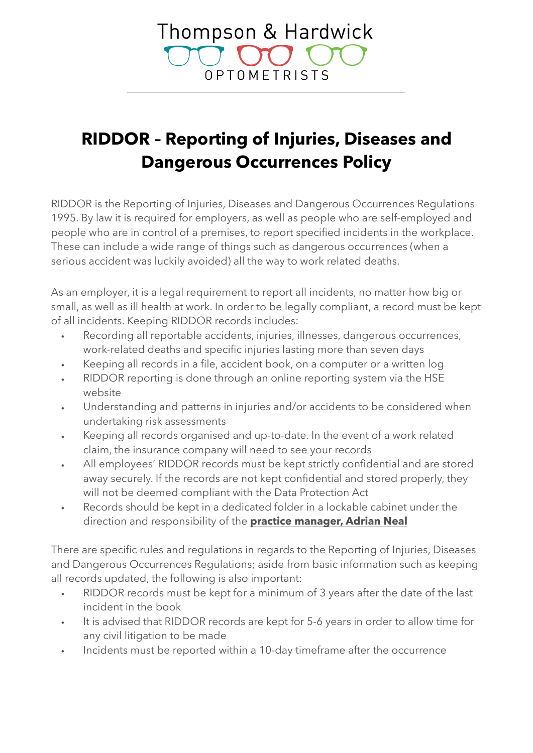## Thompson & Hardwick OPTOMETRISTS

## **RIDDOR – Reporting of Injuries, Diseases and Dangerous Occurrences Policy**

RIDDOR is the Reporting of Injuries, Diseases and Dangerous Occurrences Regulations 1995. By law it is required for employers, as well as people who are self-employed and people who are in control of a premises, to report specified incidents in the workplace. These can include a wide range of things such as dangerous occurrences (when a serious accident was luckily avoided) all the way to work related deaths.

As an employer, it is a legal requirement to report all incidents, no matter how big or small, as well as ill health at work. In order to be legally compliant, a record must be kept of all incidents. Keeping RIDDOR records includes:

- Recording all reportable accidents, injuries, illnesses, dangerous occurrences, work-related deaths and specific injuries lasting more than seven days
- Keeping all records in a file, accident book, on a computer or a written log
- RIDDOR reporting is done through an online reporting system via the [HSE](http://www.hse.gov.uk/riddor/report.htm)  [website](http://www.hse.gov.uk/riddor/report.htm)
- Understanding and patterns in injuries and/or accidents to be considered when undertaking risk assessments
- Keeping all records organised and up-to-date. In the event of a work related claim, the insurance company will need to see your records
- All employees' RIDDOR records must be kept strictly confidential and are stored away securely. If the records are not kept confidential and stored properly, they will not be deemed compliant with the Data Protection Act
- Records should be kept in a dedicated folder in a lockable cabinet under the direction and responsibility of the **practice manager, Adrian Neal**

There are specific rules and regulations in regards to the Reporting of Injuries, Diseases and Dangerous Occurrences Regulations; aside from basic information such as keeping all records updated, the following is also important:

- RIDDOR records must be kept for a minimum of 3 years after the date of the last incident in the book
- It is advised that RIDDOR records are kept for 5-6 years in order to allow time for any civil litigation to be made
- Incidents must be reported within a 10-day timeframe after the occurrence